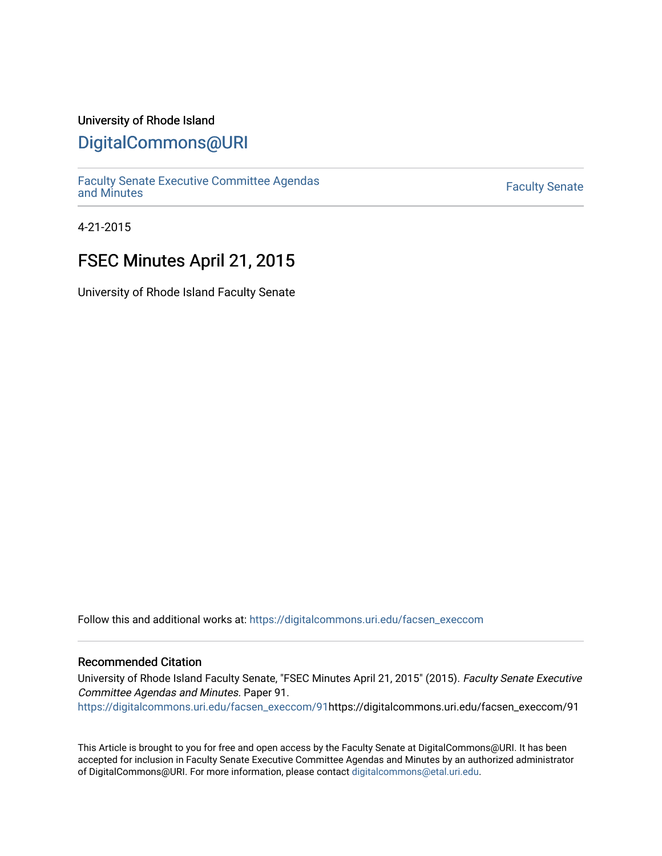### University of Rhode Island

## [DigitalCommons@URI](https://digitalcommons.uri.edu/)

[Faculty Senate Executive Committee Agendas](https://digitalcommons.uri.edu/facsen_execcom)  [and Minutes](https://digitalcommons.uri.edu/facsen_execcom) [Faculty Senate](https://digitalcommons.uri.edu/facsen) 

4-21-2015

# FSEC Minutes April 21, 2015

University of Rhode Island Faculty Senate

Follow this and additional works at: [https://digitalcommons.uri.edu/facsen\\_execcom](https://digitalcommons.uri.edu/facsen_execcom?utm_source=digitalcommons.uri.edu%2Ffacsen_execcom%2F91&utm_medium=PDF&utm_campaign=PDFCoverPages) 

### Recommended Citation

University of Rhode Island Faculty Senate, "FSEC Minutes April 21, 2015" (2015). Faculty Senate Executive Committee Agendas and Minutes. Paper 91.

[https://digitalcommons.uri.edu/facsen\\_execcom/91h](https://digitalcommons.uri.edu/facsen_execcom/91?utm_source=digitalcommons.uri.edu%2Ffacsen_execcom%2F91&utm_medium=PDF&utm_campaign=PDFCoverPages)ttps://digitalcommons.uri.edu/facsen\_execcom/91

This Article is brought to you for free and open access by the Faculty Senate at DigitalCommons@URI. It has been accepted for inclusion in Faculty Senate Executive Committee Agendas and Minutes by an authorized administrator of DigitalCommons@URI. For more information, please contact [digitalcommons@etal.uri.edu](mailto:digitalcommons@etal.uri.edu).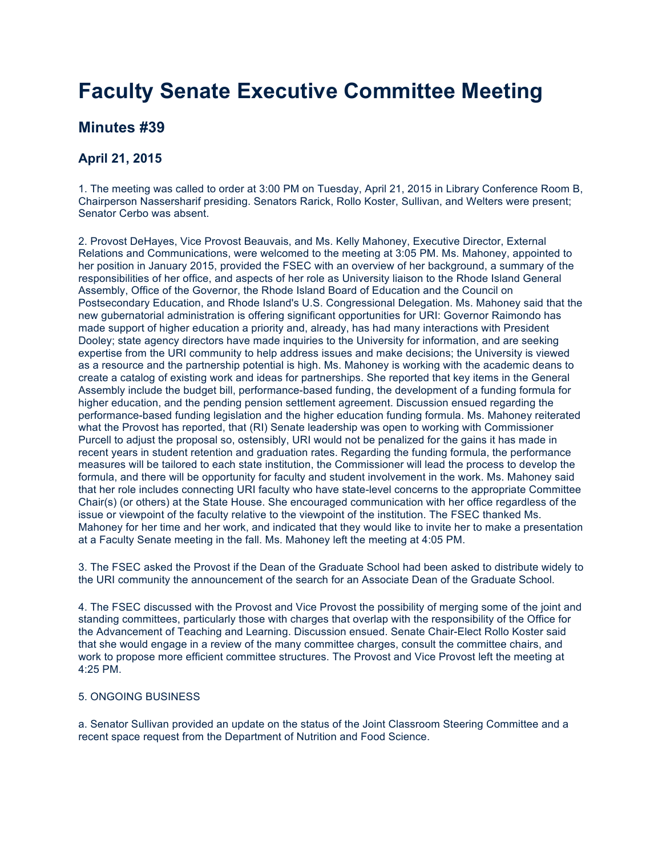# **Faculty Senate Executive Committee Meeting**

## **Minutes #39**

### **April 21, 2015**

1. The meeting was called to order at 3:00 PM on Tuesday, April 21, 2015 in Library Conference Room B, Chairperson Nassersharif presiding. Senators Rarick, Rollo Koster, Sullivan, and Welters were present; Senator Cerbo was absent.

2. Provost DeHayes, Vice Provost Beauvais, and Ms. Kelly Mahoney, Executive Director, External Relations and Communications, were welcomed to the meeting at 3:05 PM. Ms. Mahoney, appointed to her position in January 2015, provided the FSEC with an overview of her background, a summary of the responsibilities of her office, and aspects of her role as University liaison to the Rhode Island General Assembly, Office of the Governor, the Rhode Island Board of Education and the Council on Postsecondary Education, and Rhode Island's U.S. Congressional Delegation. Ms. Mahoney said that the new gubernatorial administration is offering significant opportunities for URI: Governor Raimondo has made support of higher education a priority and, already, has had many interactions with President Dooley; state agency directors have made inquiries to the University for information, and are seeking expertise from the URI community to help address issues and make decisions; the University is viewed as a resource and the partnership potential is high. Ms. Mahoney is working with the academic deans to create a catalog of existing work and ideas for partnerships. She reported that key items in the General Assembly include the budget bill, performance-based funding, the development of a funding formula for higher education, and the pending pension settlement agreement. Discussion ensued regarding the performance-based funding legislation and the higher education funding formula. Ms. Mahoney reiterated what the Provost has reported, that (RI) Senate leadership was open to working with Commissioner Purcell to adjust the proposal so, ostensibly, URI would not be penalized for the gains it has made in recent years in student retention and graduation rates. Regarding the funding formula, the performance measures will be tailored to each state institution, the Commissioner will lead the process to develop the formula, and there will be opportunity for faculty and student involvement in the work. Ms. Mahoney said that her role includes connecting URI faculty who have state-level concerns to the appropriate Committee Chair(s) (or others) at the State House. She encouraged communication with her office regardless of the issue or viewpoint of the faculty relative to the viewpoint of the institution. The FSEC thanked Ms. Mahoney for her time and her work, and indicated that they would like to invite her to make a presentation at a Faculty Senate meeting in the fall. Ms. Mahoney left the meeting at 4:05 PM.

3. The FSEC asked the Provost if the Dean of the Graduate School had been asked to distribute widely to the URI community the announcement of the search for an Associate Dean of the Graduate School.

4. The FSEC discussed with the Provost and Vice Provost the possibility of merging some of the joint and standing committees, particularly those with charges that overlap with the responsibility of the Office for the Advancement of Teaching and Learning. Discussion ensued. Senate Chair-Elect Rollo Koster said that she would engage in a review of the many committee charges, consult the committee chairs, and work to propose more efficient committee structures. The Provost and Vice Provost left the meeting at 4:25 PM.

#### 5. ONGOING BUSINESS

a. Senator Sullivan provided an update on the status of the Joint Classroom Steering Committee and a recent space request from the Department of Nutrition and Food Science.